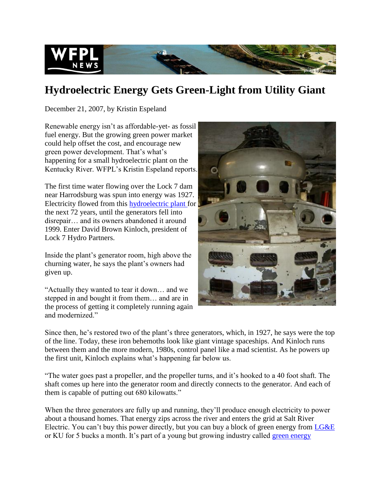

## **Hydroelectric Energy Gets Green-Light from Utility Giant**

December 21, 2007, by Kristin Espeland

Renewable energy isn't as affordable-yet- as fossil fuel energy. But the growing green power market could help offset the cost, and encourage new green power development. That's what's happening for a small hydroelectric plant on the Kentucky River. WFPL's Kristin Espeland reports.

The first time water flowing over the Lock 7 dam near Harrodsburg was spun into energy was 1927. Electricity flowed from this [hydroelectric plant f](http://lowimpacthydro.org/application-details.aspx?id=27)or the next 72 years, until the generators fell into disrepair… and its owners abandoned it around 1999. Enter David Brown Kinloch, president of Lock 7 Hydro Partners.

Inside the plant's generator room, high above the churning water, he says the plant's owners had given up.

"Actually they wanted to tear it down… and we stepped in and bought it from them… and are in the process of getting it completely running again and modernized."



Since then, he's restored two of the plant's three generators, which, in 1927, he says were the top of the line. Today, these iron behemoths look like giant vintage spaceships. And Kinloch runs between them and the more modern, 1980s, control panel like a mad scientist. As he powers up the first unit, Kinloch explains what's happening far below us.

"The water goes past a propeller, and the propeller turns, and it's hooked to a 40 foot shaft. The shaft comes up here into the generator room and directly connects to the generator. And each of them is capable of putting out 680 kilowatts."

When the three generators are fully up and running, they'll produce enough electricity to power about a thousand homes. That energy zips across the river and enters the grid at Salt River Electric. You can't buy this power directly, but you can buy a block of green energy from [LG&E](http://www.eon-us.com/green/default.asp) or KU for 5 bucks a month. It's part of a young but growing industry called [green energy](http://www.eere.energy.gov/greenpower/markets/index.shtml)